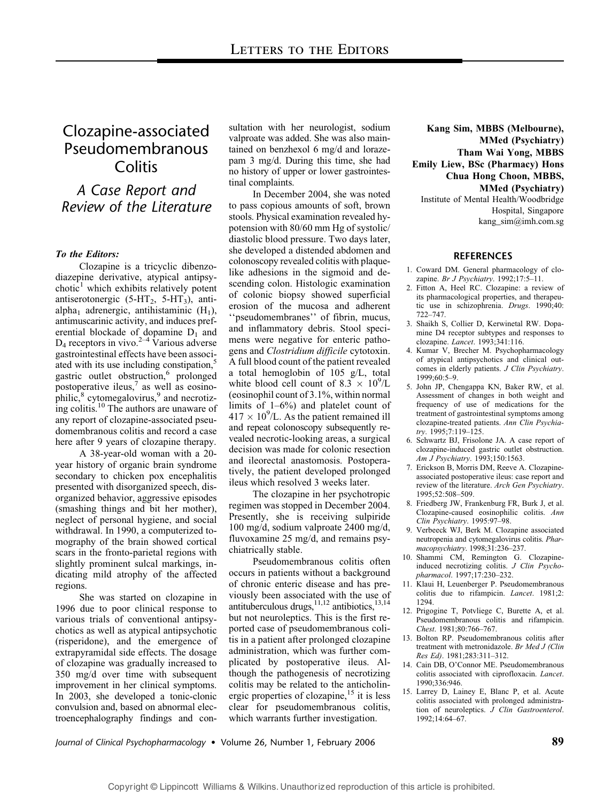## Clozapine-associated Pseudomembranous **Colitis**

## A Case Report and Review of the Literature

### To the Editors:

Clozapine is a tricyclic dibenzodiazepine derivative, atypical antipsy $chotic<sup>1</sup>$  which exhibits relatively potent antiserotonergic  $(5-HT<sub>2</sub>, 5-HT<sub>3</sub>)$ , antialpha<sub>1</sub> adrenergic, antihistaminic  $(H_1)$ , antimuscarinic activity, and induces preferential blockade of dopamine  $D_1$  and  $D_4$  receptors in vivo.<sup>2–4</sup> Various adverse gastrointestinal effects have been associated with its use including constipation,<sup>5</sup> gastric outlet obstruction,<sup>6</sup> prolonged postoperative ileus, $\frac{7}{1}$  as well as eosinophilic,<sup>8</sup> cytomegalovirus,<sup>9</sup> and necrotizing colitis.<sup>10</sup> The authors are unaware of any report of clozapine-associated pseudomembranous colitis and record a case here after 9 years of clozapine therapy.

A 38-year-old woman with a 20 year history of organic brain syndrome secondary to chicken pox encephalitis presented with disorganized speech, disorganized behavior, aggressive episodes (smashing things and bit her mother), neglect of personal hygiene, and social withdrawal. In 1990, a computerized tomography of the brain showed cortical scars in the fronto-parietal regions with slightly prominent sulcal markings, indicating mild atrophy of the affected regions.

She was started on clozapine in 1996 due to poor clinical response to various trials of conventional antipsychotics as well as atypical antipsychotic (risperidone), and the emergence of extrapyramidal side effects. The dosage of clozapine was gradually increased to 350 mg/d over time with subsequent improvement in her clinical symptoms. In 2003, she developed a tonic-clonic convulsion and, based on abnormal electroencephalography findings and consultation with her neurologist, sodium valproate was added. She was also maintained on benzhexol 6 mg/d and lorazepam 3 mg/d. During this time, she had no history of upper or lower gastrointestinal complaints.

In December 2004, she was noted to pass copious amounts of soft, brown stools. Physical examination revealed hypotension with 80/60 mm Hg of systolic/ diastolic blood pressure. Two days later, she developed a distended abdomen and colonoscopy revealed colitis with plaquelike adhesions in the sigmoid and descending colon. Histologic examination of colonic biopsy showed superficial erosion of the mucosa and adherent ''pseudomembranes'' of fibrin, mucus, and inflammatory debris. Stool specimens were negative for enteric pathogens and Clostridium difficile cytotoxin. A full blood count of the patient revealed a total hemoglobin of 105 g/L, total white blood cell count of  $8.3 \times 10^9$ /L (eosinophil count of 3.1%, within normal limits of 1–6%) and platelet count of  $417 \times 10^{9}$ /L. As the patient remained ill and repeat colonoscopy subsequently revealed necrotic-looking areas, a surgical decision was made for colonic resection and ileorectal anastomosis. Postoperatively, the patient developed prolonged ileus which resolved 3 weeks later.

The clozapine in her psychotropic regimen was stopped in December 2004. Presently, she is receiving sulpiride 100 mg/d, sodium valproate 2400 mg/d, fluvoxamine 25 mg/d, and remains psychiatrically stable.

Pseudomembranous colitis often occurs in patients without a background of chronic enteric disease and has previously been associated with the use of antituberculous drugs, $^{11,12}$  antibiotics, $^{13,14}$ but not neuroleptics. This is the first reported case of pseudomembranous colitis in a patient after prolonged clozapine administration, which was further complicated by postoperative ileus. Although the pathogenesis of necrotizing colitis may be related to the anticholinergic properties of clozapine,  $15$  it is less clear for pseudomembranous colitis, which warrants further investigation.

Kang Sim, MBBS (Melbourne), MMed (Psychiatry) Tham Wai Yong, MBBS Emily Liew, BSc (Pharmacy) Hons Chua Hong Choon, MBBS, MMed (Psychiatry)

Institute of Mental Health/Woodbridge Hospital, Singapore kang\_sim@imh.com.sg

#### **REFERENCES**

- 1. Coward DM. General pharmacology of clozapine. Br J Psychiatry. 1992;17:5–11.
- 2. Fitton A, Heel RC. Clozapine: a review of its pharmacological properties, and therapeutic use in schizophrenia. Drugs. 1990;40: 722–747.
- 3. Shaikh S, Collier D, Kerwinetal RW. Dopamine D4 receptor subtypes and responses to clozapine. Lancet. 1993;341:116.
- 4. Kumar V, Brecher M. Psychopharmacology of atypical antipsychotics and clinical outcomes in elderly patients. J Clin Psychiatry. 1999;60:5–9.
- 5. John JP, Chengappa KN, Baker RW, et al. Assessment of changes in both weight and frequency of use of medications for the treatment of gastrointestinal symptoms among clozapine-treated patients. Ann Clin Psychiatry. 1995;7:119–125.
- 6. Schwartz BJ, Frisolone JA. A case report of clozapine-induced gastric outlet obstruction. Am J Psychiatry. 1993;150:1563.
- 7. Erickson B, Morris DM, Reeve A. Clozapineassociated postoperative ileus: case report and review of the literature. Arch Gen Psychiatry. 1995;52:508–509.
- 8. Friedberg JW, Frankenburg FR, Burk J, et al. Clozapine-caused eosinophilic colitis. Ann Clin Psychiatry. 1995:97–98.
- 9. Verbeeck WJ, Berk M. Clozapine associated neutropenia and cytomegalovirus colitis. Pharmacopsychiatry. 1998;31:236–237.
- 10. Shammi CM, Remington G. Clozapineinduced necrotizing colitis. J Clin Psychopharmacol. 1997;17:230–232.
- 11. Klaui H, Leuenberger P. Pseudomembranous colitis due to rifampicin. Lancet. 1981;2: 1294.
- 12. Prigogine T, Potvliege C, Burette A, et al. Pseudomembranous colitis and rifampicin. Chest. 1981;80:766–767.
- 13. Bolton RP. Pseudomembranous colitis after treatment with metronidazole. Br Med J (Clin Res Ed). 1981;283:311–312.
- 14. Cain DB, O'Connor ME. Pseudomembranous colitis associated with ciprofloxacin. Lancet. 1990;336:946.
- 15. Larrey D, Lainey E, Blanc P, et al. Acute colitis associated with prolonged administration of neuroleptics. J Clin Gastroenterol. 1992;14:64–67.

Journal of Clinical Psychopharmacology • Volume 26, Number 1, February 2006  $\,$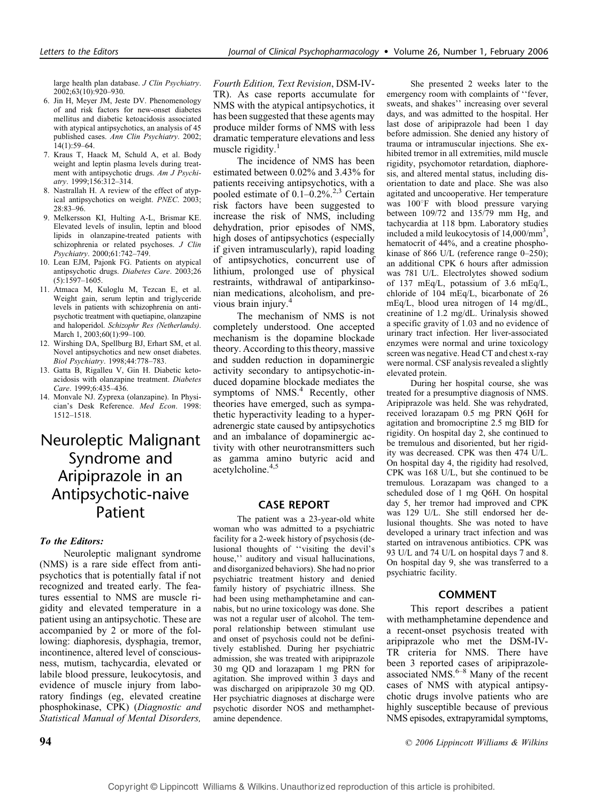large health plan database. J Clin Psychiatry. 2002;63(10):920–930.

- 6. Jin H, Meyer JM, Jeste DV. Phenomenology of and risk factors for new-onset diabetes mellitus and diabetic ketoacidosis associated with atypical antipsychotics, an analysis of 45 published cases. Ann Clin Psychiatry. 2002; 14(1):59–64.
- 7. Kraus T, Haack M, Schuld A, et al. Body weight and leptin plasma levels during treatment with antipsychotic drugs. Am J Psychiatry. 1999;156:312–314.
- 8. Nastrallah H. A review of the effect of atypical antipsychotics on weight. PNEC. 2003; 28:83–96.
- 9. Melkersson KI, Hulting A-L, Brismar KE. Elevated levels of insulin, leptin and blood lipids in olanzapine-treated patients with schizophrenia or related psychoses. J Clin Psychiatry. 2000;61:742–749.
- 10. Lean EJM, Pajonk FG. Patients on atypical antipsychotic drugs. Diabetes Care. 2003;26 (5):1597–1605.
- 11. Atmaca M, Kuloglu M, Tezcan E, et al. Weight gain, serum leptin and triglyceride levels in patients with schizophrenia on antipsychotic treatment with quetiapine, olanzapine and haloperidol. Schizophr Res (Netherlands). March 1, 2003;60(1):99-100.
- 12. Wirshing DA, Spellburg BJ, Erhart SM, et al. Novel antipsychotics and new onset diabetes. Biol Psychiatry. 1998;44:778–783.
- 13. Gatta B, Rigalleu V, Gin H. Diabetic ketoacidosis with olanzapine treatment. Diabetes Care. 1999;6:435–436.
- 14. Monvale NJ. Zyprexa (olanzapine). In Physician's Desk Reference. Med Econ. 1998: 1512–1518.

## Neuroleptic Malignant Syndrome and Aripiprazole in an Antipsychotic-naive Patient

### To the Editors:

Neuroleptic malignant syndrome (NMS) is a rare side effect from antipsychotics that is potentially fatal if not recognized and treated early. The features essential to NMS are muscle rigidity and elevated temperature in a patient using an antipsychotic. These are accompanied by 2 or more of the following: diaphoresis, dysphagia, tremor, incontinence, altered level of consciousness, mutism, tachycardia, elevated or labile blood pressure, leukocytosis, and evidence of muscle injury from laboratory findings (eg, elevated creatine phosphokinase, CPK) (Diagnostic and Statistical Manual of Mental Disorders,

The incidence of NMS has been estimated between 0.02% and 3.43% for patients receiving antipsychotics, with a pooled estimate of  $0.1-0.2\%$ .<sup>2,3</sup> Certain risk factors have been suggested to increase the risk of NMS, including dehydration, prior episodes of NMS, high doses of antipsychotics (especially if given intramuscularly), rapid loading of antipsychotics, concurrent use of lithium, prolonged use of physical restraints, withdrawal of antiparkinsonian medications, alcoholism, and previous brain injury.

The mechanism of NMS is not completely understood. One accepted mechanism is the dopamine blockade theory. According to this theory, massive and sudden reduction in dopaminergic activity secondary to antipsychotic-induced dopamine blockade mediates the symptoms of  $NMS<sup>4</sup>$  Recently, other theories have emerged, such as sympathetic hyperactivity leading to a hyperadrenergic state caused by antipsychotics and an imbalance of dopaminergic activity with other neurotransmitters such as gamma amino butyric acid and acetylcholine.4,5

### CASE REPORT

The patient was a 23-year-old white woman who was admitted to a psychiatric facility for a 2-week history of psychosis (delusional thoughts of ''visiting the devil's house," auditory and visual hallucinations, and disorganized behaviors). She had no prior psychiatric treatment history and denied family history of psychiatric illness. She had been using methamphetamine and cannabis, but no urine toxicology was done. She was not a regular user of alcohol. The temporal relationship between stimulant use and onset of psychosis could not be definitively established. During her psychiatric admission, she was treated with aripiprazole 30 mg QD and lorazapam 1 mg PRN for agitation. She improved within 3 days and was discharged on aripiprazole 30 mg QD. Her psychiatric diagnoses at discharge were psychotic disorder NOS and methamphetamine dependence.

She presented 2 weeks later to the emergency room with complaints of ''fever, sweats, and shakes'' increasing over several days, and was admitted to the hospital. Her last dose of aripiprazole had been 1 day before admission. She denied any history of trauma or intramuscular injections. She exhibited tremor in all extremities, mild muscle rigidity, psychomotor retardation, diaphoresis, and altered mental status, including disorientation to date and place. She was also agitated and uncooperative. Her temperature was 100°F with blood pressure varying between 109/72 and 135/79 mm Hg, and tachycardia at 118 bpm. Laboratory studies included a mild leukocytosis of 14,000/mm<sup>3</sup>, hematocrit of 44%, and a creatine phosphokinase of 866 U/L (reference range 0–250); an additional CPK 6 hours after admission was 781 U/L. Electrolytes showed sodium of 137 mEq/L, potassium of 3.6 mEq/L, chloride of 104 mEq/L, bicarbonate of 26 mEq/L, blood urea nitrogen of 14 mg/dL, creatinine of 1.2 mg/dL. Urinalysis showed a specific gravity of 1.03 and no evidence of urinary tract infection. Her liver-associated enzymes were normal and urine toxicology screen was negative. Head CT and chest x-ray were normal. CSF analysis revealed a slightly elevated protein.

During her hospital course, she was treated for a presumptive diagnosis of NMS. Aripiprazole was held. She was rehydrated, received lorazapam 0.5 mg PRN Q6H for agitation and bromocriptine 2.5 mg BID for rigidity. On hospital day 2, she continued to be tremulous and disoriented, but her rigidity was decreased. CPK was then 474 U/L. On hospital day 4, the rigidity had resolved, CPK was 168 U/L, but she continued to be tremulous. Lorazapam was changed to a scheduled dose of 1 mg Q6H. On hospital day 5, her tremor had improved and CPK was 129 U/L. She still endorsed her delusional thoughts. She was noted to have developed a urinary tract infection and was started on intravenous antibiotics. CPK was 93 U/L and 74 U/L on hospital days 7 and 8. On hospital day 9, she was transferred to a psychiatric facility.

#### COMMENT

This report describes a patient with methamphetamine dependence and a recent-onset psychosis treated with aripiprazole who met the DSM-IV-TR criteria for NMS. There have been 3 reported cases of aripiprazoleassociated NMS. $6-8$  Many of the recent cases of NMS with atypical antipsychotic drugs involve patients who are highly susceptible because of previous NMS episodes, extrapyramidal symptoms,